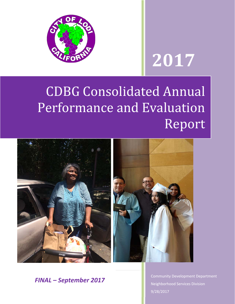

# **2017**

## **CDBG Consolidated Annual** Performance and Evaluation Report



*FINAL – September 2017*

**Community Development Department** Neighborhood Services Division 9/28/2017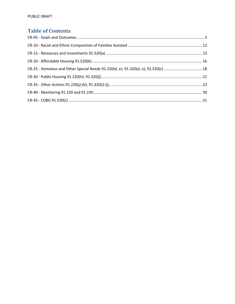## **Table of Contents**

| CR-25 - Homeless and Other Special Needs 91.220(d, e); 91.320(d, e); 91.520(c)  18 |  |
|------------------------------------------------------------------------------------|--|
|                                                                                    |  |
|                                                                                    |  |
|                                                                                    |  |
|                                                                                    |  |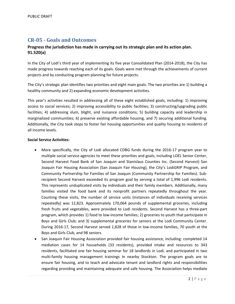## **CR‐05 ‐ Goals and Outcomes**

## **Progress the jurisdiction has made in carrying out its strategic plan and its action plan. 91.520(a)**

In the City of Lodi's third year of implementing its five year Consolidated Plan (2014‐2018), the City has made progress towards reaching each of its goals. Goals were met through the achievements of current projects and by conducting program planning for future projects.

The City's strategic plan identifies two priorities and eight main goals. The two priorities are 1) building a healthy community and 2) expanding economic development activities.

This year's activities resulted in addressing all of these eight established goals, including: 1) improving access to social services; 2) improving accessibility to public facilities; 3) constructing/upgrading public facilities; 4) addressing slum, blight, and nuisance conditions; 5) building capacity and leadership in marginalized communities; 6) preserve existing affordable housing, and 7) securing additional funding. Additionally, the City took steps to foster fair housing opportunities and quality housing to residents of all income levels.

#### **Social Service Activities:**

- More specifically, the City of Lodi allocated CDBG funds during the 2016‐17 program year to multiple social service agencies to meet these priorities and goals; including LOEL Senior Center, Second Harvest Food Bank of San Joaquin and Stanislaus Counties Inc. (Second Harvest) San Joaquin Fair Housing Association (San Joaquin Fair Housing), the City's LodiGRIP Program, and Community Partnership for Families of San Joaquin (Community Partnership for Families). Sub‐ recipient Second Harvest exceeded its program goal by serving a total of 1,996 Lodi residents. This represents unduplicated visits by individuals and their family members. Additionally, many families visited the food bank and its nonprofit partners repeatedly throughout the year. Counting these visits, the number of service units (instances of individuals receiving services repeatedly) was 12,823. Approximately 170,064 pounds of supplemental groceries, including fresh fruits and vegetables, were provided to Lodi residents. Second Harvest has a three‐part program, which provides 1) food to low-income families; 2) groceries to youth that participate in Boys and Girls Club; and 3) supplemental groceries for seniors at the Lodi Community Center. During 2016-17, Second Harvest served 1,828 of those in low-income families, 70 youth at the Boys and Girls Club, and 98 seniors.
- San Joaquin Fair Housing Association provided fair housing assistance, including: completed 14 mediation cases for 14 households (33 residents), provided intake and resources to 343 residents, facilitated one fair housing seminar for 18 landlords in Lodi, and participated in two multi-family housing management trainings In nearby Stockton. The program goals are to ensure fair housing, and to teach and advocate tenant and landlord rights and responsibilities regarding providing and maintaining adequate and safe housing. The Association helps mediate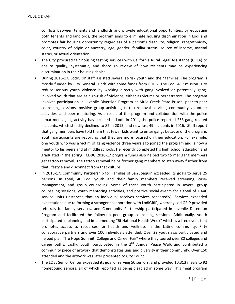conflicts between tenants and landlords and provide educational opportunities. By educating both tenants and landlords, the program aims to eliminate housing discrimination in Lodi and promotes fair housing opportunity regardless of a person's disability, religion, race/ethnicity, color, country of origin or ancestry, age, gender, familiar status, source of income, marital status, or sexual orientation.

- The City procured fair housing testing services with California Rural Legal Assistance (CRLA) to ensure quality, systematic, and thorough review of how residents may be experiencing discrimination in their housing choice.
- During 2016-17, LodiGRIP staff assisted several at-risk youth and their families. The program is mostly funded by City General Funds with some funds from CDBG. The LodiGRIP mission is to reduce serious youth violence by working directly with gang-involved or potentially ganginvolved youth that are at high‐risk of violence, either as victims or perpetrators. The program involves participation in Juvenile Diversion Program at Mule Creek State Prison, peer‐to‐peer counseling sessions, positive group activities, tattoo removal services, community volunteer activities, and peer mentoring. As a result of the program and collaboration with the police department, gang activity has declined in Lodi. In 2011, the police reported 253 gang related incidents, which steadily declined to 82 in 2015, and now just 49 incidents in 2016. Staff report that gang members have told them that fewer kids want to enter gangs because of the program. Youth participants are reporting that they are more focused on their education. For example, one youth who was a victim of gang violence three years ago joined the program and is now a mentor to his peers and at middle schools. He recently completed his high school education and graduated in the spring. CDBG 2016‐17 program funds also helped two former gang members get tattoo removal. The tattoo removal helps former gang members to step away further from that lifestyle and disconnect from that culture.
- In 2016‐17, Community Partnership for Families of San Joaquin exceeded its goals to serve 25 persons. In total, 40 Lodi youth and their family members received screening, case‐ management, and group counseling. Some of these youth participated in several group counseling sessions, youth mentoring activities, and positive social events for a total of 1,446 service units (instances that an individual receives services repeatedly). Services exceeded expectations due to forming a stronger collaboration with LodiGRIP, whereby LodiGRIP provided referrals for family services, and Community Partnership participated in Juvenile Detention Program and facilitated the follow-up peer group counseling sessions. Additionally, youth participated in planning and implementing "Bi‐National Health Week" which is a free event that promotes access to resources for health and wellness in the Latino community. Fifty collaborative partners and over 100 individuals attended. Over 22 youth also participated and helped plan "Tru Hope Summit, College and Career Fair" where they toured over 80 colleges and career paths. Lastly, youth participated in the  $2^{nd}$  Annual Peace Walk and contributed a community piece of artwork that demonstrates unis and diversity in their community. Over 150 attended and the artwork was later presented to City Council.
- The LOEL Senior Center exceeded its goal of serving 50 seniors, and provided 10,313 meals to 92 homebound seniors, all of which reported as being disabled in some way. This meal program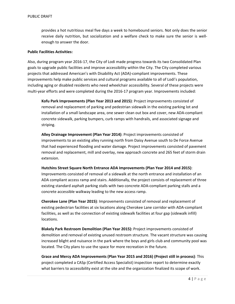provides a hot nutritious meal five days a week to homebound seniors. Not only does the senior receive daily nutrition, but socialization and a welfare check to make sure the senior is well‐ enough to answer the door.

#### **Public Facilities Activities:**

Also, during program year 2016‐17, the City of Lodi made progress towards its two Consolidated Plan goals to upgrade public facilities and improve accessibility within the City. The City completed various projects that addressed American's with Disability Act (ADA)‐compliant improvements. These improvements help make public services and cultural programs available to all of Lodi's population, including aging or disabled residents who need wheelchair accessibility. Several of these projects were multi-year efforts and were completed during the 2016-17 program year. Improvements included:

**Kofu Park Improvements (Plan Year 2013 and 2015)**: Project improvements consisted of removal and replacement of parking and pedestrian sidewalk in the existing parking lot and installation of a small landscape area, one sewer clean out box and cover, new ADA‐compliant concrete sidewalk, parking bumpers, curb ramps with handrails, and associated signage and striping.

**Alley Drainage Improvement (Plan Year 2014)**: Project improvements consisted of improvements to an existing alley running north from Daisy Avenue south to De Force Avenue that had experienced flooding and water damage. Project improvements consisted of pavement removal and replacement, mill and overlay, new approach concrete and 265 feet of storm drain extension.

**Hutchins Street Square North Entrance ADA Improvements (Plan Year 2014 and 2015)**: Improvements consisted of removal of a sidewalk at the north entrance and installation of an ADA compliant access ramp and stairs. Additionally, the project consists of replacement of three existing standard asphalt parking stalls with two concrete ADA‐compliant parking stalls and a concrete accessible walkway leading to the new access ramp.

**Cherokee Lane (Plan Year 2015)**: Improvements consisted of removal and replacement of existing pedestrian facilities at six locations along Cherokee Lane corridor with ADA‐compliant facilities, as well as the connection of existing sidewalk facilities at four gap (sidewalk infill) locations.

**Blakely Park Restroom Demolition (Plan Year 2015):** Project improvements consisted of demolition and removal of existing unused restroom structure. The vacant structure was causing increased blight and nuisance in the park where the boys and girls club and community pool was located. The City plans to use the space for more recreation in the future.

**Grace and Mercy ADA Improvements (Plan Year 2015 and 2016) (Project still in process)**: This project completed a CASp (Certified Access Specialist) inspection report to determine exactly what barriers to accessibility exist at the site and the organization finalized its scope of work.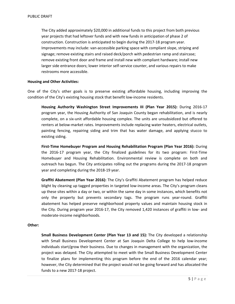The City added approximately \$20,000 in additional funds to this project from both previous year projects that had leftover funds and with new funds in anticipation of phase 2 of construction. Construction is anticipated to begin during the 2017‐18 program year. Improvements may include: van‐accessible parking space with compliant slope, striping and signage; remove existing stairs and raised deck/porch with pedestrian ramp and staircase; remove existing front door and frame and install new with compliant hardware; install new larger side entrance doors; lower interior self‐service counter, and various repairs to make restrooms more accessible.

#### **Housing and Other Activities:**

One of the City's other goals is to preserve existing affordable housing, including improving the condition of the City's existing housing stock that benefit low-income residents.

**Housing Authority Washington Street Improvements III (Plan Year 2015):** During 2016‐17 program year, the Housing Authority of San Joaquin County began rehabilitation, and is nearly complete, on a six‐unit affordable housing complex. The units are unsubsidized but offered to renters at below‐market rates. Improvements include replacing water heaters, electrical outlets, painting fencing, repairing siding and trim that has water damage, and applying stucco to existing siding.

**First‐Time Homebuyer Program and Housing Rehabilitation Program (Plan Year 2016):** During the 2016‐17 program year, the City finalized guidelines for its two program: First‐Time Homebuyer and Housing Rehabilitation. Environmental review is complete on both and outreach has begun. The City anticipates rolling out the programs during the 2017‐18 program year and completing during the 2018‐19 year.

**Graffiti Abatement (Plan Year 2016):** The City's Graffiti Abatement program has helped reduce blight by cleaning up tagged properties in targeted low-income areas. The City's program cleans up these sites within a day or two, or within the same day in some instances, which benefits not only the property but prevents secondary tags. The program runs year-round. Graffiti abatement has helped preserve neighborhood property values and maintain housing stock in the City. During program year 2016‐17, the City removed 1,420 instances of graffiti in low‐ and moderate‐income neighborhoods.

#### **Other:**

**Small Business Development Center (Plan Year 13 and 15):** The City developed a relationship with Small Business Development Center at San Joaquin Delta College to help low‐income individuals start/grow their business. Due to changes in management with the organization, the project was delayed. The City attempted to meet with the Small Business Development Center to finalize plans for implementing this program before the end of the 2016 calendar year; however, the City determined that the project would not be going forward and has allocated the funds to a new 2017‐18 project.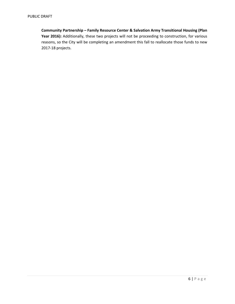**Community Partnership – Family Resource Center & Salvation Army Transitional Housing (Plan Year 2016):** Additionally, these two projects will not be proceeding to construction, for various reasons, so the City will be completing an amendment this fall to reallocate those funds to new 2017‐18 projects.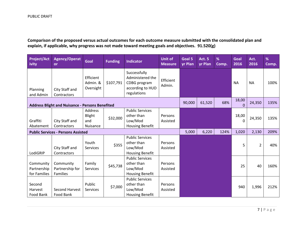Comparison of the proposed versus actual outcomes for each outcome measure submitted with the consolidated plan and **explain, if applicable, why progress was not made toward meeting goals and objectives. 91.520(g)**

| <b>Project/Act</b><br>ivity              | <b>Agency/Operat</b><br><b>or</b>                      | <b>Goal</b>                          | <b>Funding</b>                                                                     | <b>Indicator</b>                                                                    | <b>Unit of</b><br><b>Measure</b> | Goal 5<br>yr Plan | <b>Act. 5</b><br>yr Plan | %<br>Comp. | Goal<br>2016      | Act.<br>2016   | %<br>Comp. |
|------------------------------------------|--------------------------------------------------------|--------------------------------------|------------------------------------------------------------------------------------|-------------------------------------------------------------------------------------|----------------------------------|-------------------|--------------------------|------------|-------------------|----------------|------------|
| Planning<br>and Admin                    | City Staff and<br>Contractors                          | Efficient<br>Admin. &<br>Oversight   | \$107,791                                                                          | Successfully<br>Administered the<br>CDBG program<br>according to HUD<br>regulations | Efficient<br>Admin.              |                   |                          |            | <b>NA</b>         | <b>NA</b>      | 100%       |
|                                          | <b>Address Blight and Nuisance - Persons Benefited</b> |                                      |                                                                                    |                                                                                     |                                  | 90,000            | 61,520                   | 68%        | 18,00<br>$\Omega$ | 24,350         | 135%       |
| Graffiti<br>Abatement                    | City Staff and<br>Contractors                          | Address<br>Blight<br>and<br>Nuisance | \$32,000                                                                           | <b>Public Services</b><br>other than<br>Low/Mod<br><b>Housing Benefit</b>           | Persons<br>Assisted              |                   |                          |            | 18,00<br>0        | 24,350         | 135%       |
|                                          | <b>Public Services - Persons Assisted</b>              |                                      |                                                                                    |                                                                                     |                                  | 5,000             | 6,220                    | 124%       | 1,020             | 2,130          | 209%       |
| LodiGRIP                                 | City Staff and<br>Contractors                          | Youth<br><b>Services</b>             | <b>Public Services</b><br>other than<br>\$355<br>Low/Mod<br><b>Housing Benefit</b> |                                                                                     | Persons<br>Assisted              |                   |                          |            | 5                 | $\overline{2}$ | 40%        |
| Community<br>Partnership<br>for Families | Community<br>Partnership for<br>Families               | Family<br><b>Services</b>            | \$45,738                                                                           | <b>Public Services</b><br>other than<br>Low/Mod<br><b>Housing Benefit</b>           | Persons<br>Assisted              |                   |                          |            | 25                | 40             | 160%       |
| Second<br>Harvest<br>Food Bank           | Second Harvest<br>Food Bank                            | Public<br><b>Services</b>            | \$7,000                                                                            | <b>Public Services</b><br>other than<br>Low/Mod<br><b>Housing Benefit</b>           | Persons<br>Assisted              |                   |                          |            | 940               | 1,996          | 212%       |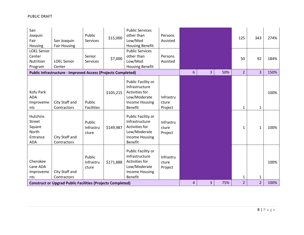| San<br>Joaquin<br>Fair<br>Housing                                      | San Joaquin<br><b>Fair Housing</b>                                                                 | Public<br>Services           | \$15,000  | <b>Public Services</b><br>other than<br>Low/Mod<br><b>Housing Benefit</b>                                         | Persons<br>Assisted           |                |                |     | 125                            | 343                            | 274%         |
|------------------------------------------------------------------------|----------------------------------------------------------------------------------------------------|------------------------------|-----------|-------------------------------------------------------------------------------------------------------------------|-------------------------------|----------------|----------------|-----|--------------------------------|--------------------------------|--------------|
| <b>LOEL Senior</b><br>Center<br>Nutrition<br>Program                   | <b>LOEL Senior</b><br>Center                                                                       | Senior<br><b>Services</b>    | \$7,000   | <b>Public Services</b><br>other than<br>Low/Mod<br><b>Housing Benefit</b>                                         | Persons<br>Assisted           |                |                |     | 50                             | 92                             | 184%         |
|                                                                        | <b>Public Infrastructure - Improved Access (Projects Completed)</b>                                |                              |           |                                                                                                                   |                               | $6\phantom{1}$ | $\overline{3}$ | 50% | $\overline{2}$                 | 3                              | 150%         |
| Kofu Park<br><b>ADA</b><br>Improveme<br>nts                            | City Staff and<br>Contractors                                                                      | Public<br><b>Facilities</b>  | \$105,215 | Public Facility or<br>Infrastructure<br>Activities for<br>Low/Moderate<br><b>Income Housing</b><br><b>Benefit</b> | Infrastru<br>cture<br>Project |                |                |     | $\mathbf{1}$                   | $\mathbf{1}$                   | 100%         |
| <b>Hutchins</b><br>Street<br>Square<br>North<br>Entrance<br><b>ADA</b> | City Staff and<br>Contractors                                                                      | Public<br>Infrastru<br>cture | \$149,987 | Public Facility or<br>Infrastructure<br>Activities for<br>Low/Moderate<br><b>Income Housing</b><br><b>Benefit</b> | Infrastru<br>cture<br>Project |                |                |     | 1                              | 1                              | 100%         |
| Cherokee<br>Lane ADA<br>Improveme<br>nts                               | City Staff and<br>Contractors<br><b>Construct or Upgrad Public Facilities (Projects Completed)</b> | Public<br>Infrastru<br>cture | \$171,888 | Public Facility or<br>Infrastructure<br>Activities for<br>Low/Moderate<br><b>Income Housing</b><br><b>Benefit</b> | Infrastru<br>cture<br>Project | 4              | 3              | 75% | $\mathbf{1}$<br>$\overline{2}$ | $\mathbf{1}$<br>$\overline{2}$ | 100%<br>100% |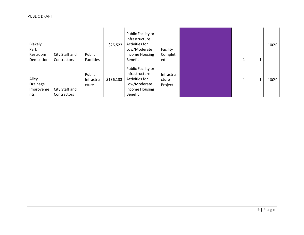| Blakely<br>Park<br>Restroom<br>Demolition | City Staff and<br>Contractors | Public<br><b>Facilities</b>  | \$25,523  | Public Facility or<br>Infrastructure<br>Activities for<br>Low/Moderate<br>Income Housing<br>Benefit        | Facility<br>Complet<br>ed     |  | 100% |
|-------------------------------------------|-------------------------------|------------------------------|-----------|------------------------------------------------------------------------------------------------------------|-------------------------------|--|------|
| Alley<br>Drainage<br>Improveme<br>nts     | City Staff and<br>Contractors | Public<br>Infrastru<br>cture | \$136,133 | Public Facility or<br>Infrastructure<br>Activities for<br>Low/Moderate<br>Income Housing<br><b>Benefit</b> | Infrastru<br>cture<br>Project |  | 100% |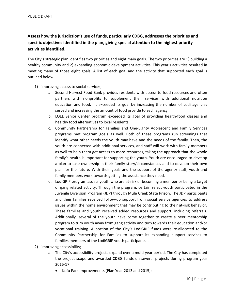## **Assess how the jurisdiction's use of funds, particularly CDBG, addresses the priorities and specific objectives identified in the plan, giving special attention to the highest priority activities identified.**

The City's strategic plan identifies two priorities and eight main goals. The two priorities are 1) building a healthy community and 2) expanding economic development activities. This year's activities resulted in meeting many of those eight goals. A list of each goal and the activity that supported each goal is outlined below:

- 1) improving access to social services;
	- a. Second Harvest Food Bank provides residents with access to food resources and often partners with nonprofits to supplement their services with additional nutrition education and food. It exceeded its goal by increasing the number of Lodi agencies served and increasing the amount of food provide to each agency.
	- b. LOEL Senior Center program exceeded its goal of providing health‐food classes and healthy food alternatives to local residents.
	- c. Community Partnership for Families and One‐Eighty Adolescent and Family Services programs met program goals as well. Both of these programs run screenings that identify what other needs the youth may have and the needs of the family. Then, the youth are connected with additional services, and staff will work with family members as well to help them get access to more resources, taking the approach that the whole family's health is important for supporting the youth. Youth are encouraged to develop a plan to take ownership in their family story/circumstances and to develop their own plan for the future. With their goals and the support of the agency staff, youth and family members work towards getting the assistance they need.
	- d. LodiGRIP program assists youth who are at-risk of becoming a member or being a target of gang related activity. Through the program, certain select youth participated in the Juvenile Diversion Program (JDP) through Mule Creek State Prison. The JDP participants and their families received follow‐up support from social service agencies to address issues within the home environment that may be contributing to their at-risk behavior. These families and youth received added resources and support, including referrals. Additionally, several of the youth have come together to create a peer mentorship program to turn youth away from gang activity and turn towards their education and/or vocational training. A portion of the City's LodiGRIP funds were re‐allocated to the Community Partnership for Families to support its expanding support services to families members of the LodiGRIP youth participants. .
- 2) improving accessibility;
	- a. The City's accessibility projects expand over a multi-year period. The City has completed the project scope and awarded CDBG funds on several projects during program year 2016‐17:
		- Kofu Park Improvements (Plan Year 2013 and 2015);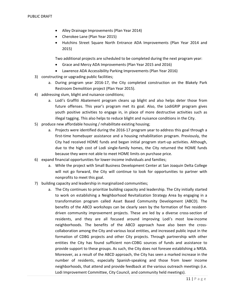- Alley Drainage Improvements (Plan Year 2014)
- Cherokee Lane (Plan Year 2015)
- Hutchins Street Square North Entrance ADA Improvements (Plan Year 2014 and 2015)

Two additional projects are scheduled to be completed during the next program year:

- Grace and Mercy ADA Improvements (Plan Year 2015 and 2016)
- Lawrence ADA Accessibility Parking Improvements (Plan Year 2016)
- 3) constructing or upgrading public facilities;
	- a. During program year 2016‐17, the City completed construction on the Blakely Park Restroom Demolition project (Plan Year 2015).
- 4) addressing slum, blight and nuisance conditions;
	- a. Lodi's Graffiti Abatement program cleans up blight and also helps deter those from future offenses. This year's program met its goal. Also, the LodiGRIP program gives youth positive activities to engage in, in place of more destructive activities such as illegal tagging. This also helps to reduce blight and nuisance conditions in the City.
- 5) produce new affordable housing / rehabilitate existing housing;
	- a. Projects were identified during the 2016‐17 program year to address this goal through a first-time homebuyer assistance and a housing rehabilitation program. Previously, the City had received HOME funds and began initial program start‐up activities. Although, due to the high cost of Lodi single‐family homes, the City returned the HOME funds because they were not able to meet HOME limits on purchase price.
- 6) expand financial opportunities for lower‐income individuals and families;
	- a. While the project with Small Business Development Center at San Joaquin Delta College will not go forward, the City will continue to look for opportunities to partner with nonprofits to meet this goal.
- 7) building capacity and leadership in marginalized communities;
	- a. The City continues to prioritize building capacity and leadership. The City initially started to work on establishing a Neighborhood Revitalization Strategy Area by engaging in a transformation program called Asset Based Community Development (ABCD). The benefits of the ABCD workshops can be clearly seen by the formation of five resident‐ driven community improvement projects. These are led by a diverse cross-section of residents, and they are all focused around improving Lodi's most low‐income neighborhoods. The benefits of the ABCD approach have also been the cross‐ collaboration among the City and various local entities, and increased public input in the formation of CDBG projects and other City projects. Through partnership with other entities the City has found sufficient non‐CDBG sources of funds and assistance to provide support to these groups. As such, the City does not foresee establishing a NRSA. Moreover, as a result of the ABCD approach, the City has seen a marked increase in the number of residents, especially Spanish‐speaking and those from lower income neighborhoods, that attend and provide feedback at the various outreach meetings (i.e. Lodi Improvement Committee, City Council, and community held meetings).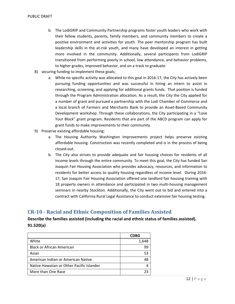- b. The LodiGRIP and Community Partnership programs foster youth leaders who work with their fellow students, parents, family members, and community members to create a positive environment and activities for youth. The peer mentorship program has built leadership skills in the at-risk youth, and many have developed an interest in getting more involved in the community. Additionally, several participants from LodiGRIP transitioned from performing poorly in school, low attendance, and behavior problems, to higher grades, improved behavior, and on a track to graduate.
- 8) securing funding to implement these goals;
	- a. While no specific activity was allocated to this goal in 2016‐17, the City has actively been pursuing funding opportunities and was successful in hiring an intern to assist in researching, screening, and applying for additional grants funds. That position is funded through the Program Administration allocation. As a result, the City the City applied for a number of grant and pursued a partnership with the Lodi Chamber of Commerce and a local branch of Farmers and Merchants Bank to provide an Asset‐Based Community Development workshop. Through these collaborations, the City participating in a "Love Your Block" grant program. Residents that are part of the ABCD program can apply for grant funds to make improvements to their community.
- 9) Preserve existing affordable housing:
	- a. The Housing Authority Washington Improvements project helps preserve existing affordable housing. Construction was recently completed and is in the process of being closed‐out.
	- b. The City also strives to provide adequate and fair housing choices for residents of all income levels through the entire community. To meet this goal, the City has funded San Joaquin Fair Housing Association who provides advocacy, resources, and information to residents for better access to quality housing regardless of income level. During 2016‐ 17, San Joaquin Fair Housing Association offered one landlord fair housing training with 18 property owners in attendance and participated in two multi-housing management seminars in nearby Stockton. Additionally, the City went out to bid and entered into a contract with California Rural Legal Assistance to conduct extensive fair housing testing.

## **CR‐10 ‐ Racial and Ethnic Composition of Families Assisted**

## **Describe the families assisted (including the racial and ethnic status of families assisted). 91.520(a)**

|                                           | <b>CDBG</b> |
|-------------------------------------------|-------------|
| White                                     | 1,648       |
| <b>Black or African American</b>          | 99          |
| Asian                                     | 53          |
| American Indian or American Native        | 48          |
| Native Hawaiian or Other Pacific Islander |             |
| More than One Race                        |             |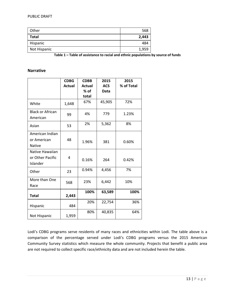| Other        | 568   |
|--------------|-------|
| Total        | 2,443 |
| Hispanic     | 484   |
| Not Hispanic | 1,959 |

**Table 1 – Table of assistance to racial and ethnic populations by source of funds**

### **Narrative**

|                         | <b>CDBG</b>   | <b>CDBB</b> | 2015       | 2015       |
|-------------------------|---------------|-------------|------------|------------|
|                         | <b>Actual</b> | Actual      | <b>ACS</b> | % of Total |
|                         |               | % of        | Data       |            |
|                         |               | total       |            |            |
| White                   | 1,648         | 67%         | 45,905     | 72%        |
| <b>Black or African</b> |               | 4%          | 779        | 1.23%      |
| American                | 99            |             |            |            |
| Asian                   | 53            | 2%          | 5,362      | 8%         |
| American Indian         |               |             |            |            |
| or American             | 48            | 1.96%       | 381        | 0.60%      |
| <b>Native</b>           |               |             |            |            |
| Native Hawaiian         |               |             |            |            |
| or Other Pacific        | 4             | 0.16%       | 264        | 0.42%      |
| Islander                |               |             |            |            |
| Other                   | 23            | 0.94%       | 4,456      | 7%         |
|                         |               |             |            |            |
| More than One           | 568           | 23%         | 6,442      | 10%        |
| Race                    |               |             |            |            |
|                         |               | 100%        | 63,589     | 100%       |
| <b>Total</b>            | 2,443         |             |            |            |
|                         | 484           | 20%         | 22,754     | 36%        |
| Hispanic                |               |             |            |            |
| Not Hispanic            | 1,959         | 80%         | 40,835     | 64%        |

Lodi's CDBG programs serve residents of many races and ethnicities within Lodi. The table above is a comparison of the percentage served under Lodi's CDBG programs versus the 2015 American Community Survey statistics which measure the whole community. Projects that benefit a public area are not required to collect specific race/ethnicity data and are not included herein the table.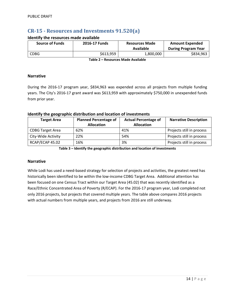## **CR‐15 ‐ Resources and Investments 91.520(a)**

#### **Identify the resources made available**

| <b>Source of Funds</b> | 2016-17 Funds | <b>Resources Made</b><br>Available | <b>Amount Expended</b><br><b>During Program Year</b> |
|------------------------|---------------|------------------------------------|------------------------------------------------------|
| <b>CDBG</b>            | \$613.959     | 1,800,000                          | \$834,963                                            |

**Table 2 – Resources Made Available**

#### **Narrative**

During the 2016‐17 program year, \$834,963 was expended across all projects from multiple funding years. The City's 2016‐17 grant award was \$613,959 with approximately \$750,000 in unexpended funds from prior year.

### **Identify the geographic distribution and location of investments**

| <b>Target Area</b>      | <b>Planned Percentage of</b><br><b>Allocation</b> | <b>Actual Percentage of</b><br><b>Allocation</b> | <b>Narrative Description</b> |
|-------------------------|---------------------------------------------------|--------------------------------------------------|------------------------------|
| <b>CDBG Target Area</b> | 62%                                               | 41%                                              | Projects still in process    |
| City-Wide Activity      | 22%                                               | 54%                                              | Projects still in process    |
| RCAP/ECAP 45.02         | 16%                                               | 3%                                               | Projects still in process    |

**Table 3 – Identify the geographic distribution and location of investments**

#### **Narrative**

While Lodi has used a need-based strategy for selection of projects and activities, the greatest need has historically been identified to be within the low-income CDBG Target Area. Additional attention has been focused on one Census Tract within our Target Area (45.02) that was recently identified as a Race/Ethnic Concentrated Area of Poverty (R/ECAP). For the 2016‐17 program year, Lodi completed not only 2016 projects, but projects that covered multiple years. The table above compares 2016 projects with actual numbers from multiple years, and projects from 2016 are still underway.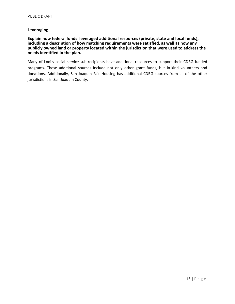#### **Leveraging**

#### **Explain how federal funds leveraged additional resources (private, state and local funds), including a description of how matching requirements were satisfied, as well as how any publicly owned land or property located within the jurisdiction that were used to address the needs identified in the plan.**

Many of Lodi's social service sub-recipients have additional resources to support their CDBG funded programs. These additional sources include not only other grant funds, but in‐kind volunteers and donations. Additionally, San Joaquin Fair Housing has additional CDBG sources from all of the other jurisdictions in San Joaquin County.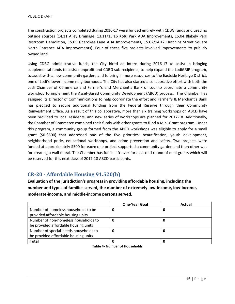The construction projects completed during 2016‐17 were funded entirely with CDBG funds and used no outside sources (14.11 Alley Drainage, 13.11/15.16 Kofu Park ADA Improvements, 15.04 Blakely Park Restroom Demolition, 15.05 Cherokee Lane ADA Improvements, 15.02/14.12 Hutchins Street Square North Entrance ADA Improvements). Four of these five projects involved improvements to publicly owned land.

Using CDBG administrative funds, the City hired an intern during 2016‐17 to assist in bringing supplemental funds to assist nonprofit and CDBG sub-recipients, to help expand the LodiGRIP program, to assist with a new community garden, and to bring in more resources to the Eastside Heritage District, one of Lodi's lower income neighborhoods. The City has also started a collaborative effort with both the Lodi Chamber of Commerce and Farmer's and Merchant's Bank of Lodi to coordinate a community workshop to implement the Asset-Based Community Development (ABCD) process. The Chamber has assigned its Director of Communications to help coordinate the effort and Farmer's & Merchant's Bank has pledged to secure additional funding from the Federal Reserve through their Community Reinvestment Office. As a result of this collaborative, more than six training workshops on ABCD have been provided to local residents, and new series of workshops are planned for 2017‐18. Additionally, the Chamber of Commerce combined their funds with other grants to fund a Mini‐Grant program. Under this program, a community group formed from the ABCD workshops was eligible to apply for a small grant (\$0‐\$500) that addressed one of the five priorities: beautification, youth development, neighborhood pride, educational workshops, and crime prevention and safety. Two projects were funded at approximately \$500 for each; one project supported a community garden and then other was for creating a wall mural. The Chamber has funds left over for a second round of mini‐grants which will be reserved for this next class of 2017‐18 ABCD participants.

## **CR‐20 ‐ Affordable Housing 91.520(b)**

**Evaluation of the jurisdiction's progress in providing affordable housing, including the number and types of families served, the number of extremely low‐income, low‐income, moderate‐income, and middle‐income persons served.**

|                                       | <b>One-Year Goal</b> | Actual |
|---------------------------------------|----------------------|--------|
| Number of homeless households to be   |                      |        |
| provided affordable housing units     |                      |        |
| Number of non-homeless households to  | 0                    |        |
| be provided affordable housing units  |                      |        |
| Number of special-needs households to |                      |        |
| be provided affordable housing units  |                      |        |
| <b>Total</b>                          |                      |        |

**Table 4‐ Number of Households**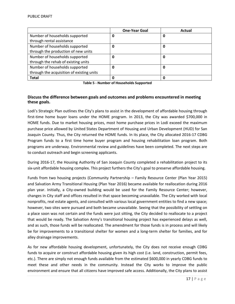|                                           | <b>One-Year Goal</b> | Actual |
|-------------------------------------------|----------------------|--------|
| Number of households supported            | 0                    | 0      |
| through rental assistance                 |                      |        |
| Number of households supported            | 0                    | 0      |
| through the production of new units       |                      |        |
| Number of households supported            | 0                    | 0      |
| through the rehab of existing units       |                      |        |
| Number of households supported            | 0                    | 0      |
| through the acquisition of existing units |                      |        |
| <b>Total</b>                              | 0                    |        |

**Table 5 ‐ Number of Households Supported**

## **Discuss the difference between goals and outcomes and problems encountered in meeting these goals.**

Lodi's Strategic Plan outlines the City's plans to assist in the development of affordable housing through first-time home buyer loans under the HOME program. In 2013, the City was awarded \$700,000 in HOME funds. Due to market housing prices, most home purchase prices in Lodi exceed the maximum purchase price allowed by United States Department of Housing and Urban Development (HUD) for San Joaquin County. Thus, the City returned the HOME funds. In its place, the City allocated 2016‐17 CDBG Program funds to a first time home buyer program and housing rehabilitation loan program. Both programs are underway. Environmental review and guidelines have been completed. The next steps are to conduct outreach and begin screening applicants.

During 2016‐17, the Housing Authority of San Joaquin County completed a rehabilitation project to its six‐unit affordable housing complex. This project furthers the City's goal to preserve affordable housing.

Funds from two housing projects (Community Partnership – Family Resource Center (Plan Year 2015) and Salvation Army Transitional Housing (Plan Year 2016) became available for reallocation during 2016 plan year. Initially, a City-owned building would be used for the Family Resource Center; however, changes in City staff and offices resulted in that space becoming unavailable. The City worked with local nonprofits, real estate agents, and consulted with various local government entities to find a new space; however, two sites were pursued and both became unavailable. Seeing that the possibility of settling on a place soon was not certain and the funds were just sitting, the City decided to reallocate to a project that would be ready. The Salvation Army's transitional housing project has experienced delays as well, and as such, those funds will be reallocated. The amendment for those funds is in process and will likely be for improvements to a transitional shelter for women and a long-term shelter for families, and for alley drainage improvements.

As for new affordable housing development, unfortunately, the City does not receive enough CDBG funds to acquire or construct affordable housing given its high cost (i.e. land, construction, permit fees, etc.). There are simply not enough funds available from the estimated \$600,000 in yearly CDBG funds to meet these and other needs in the community. Instead the City works to improve the public environment and ensure that all citizens have improved safe access. Additionally, the City plans to assist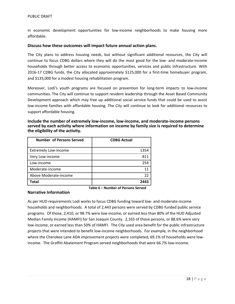in economic development opportunities for low‐income neighborhoods to make housing more affordable.

#### **Discuss how these outcomes will impact future annual action plans.**

The City plans to address housing needs, but without significant additional resources, the City will continue to focus CDBG dollars where they will do the most good for the low‐ and moderate‐income households through better access to economic opportunities, services and public infrastructure. With 2016-17 CDBG funds, the City allocated approximately \$125,000 for a first-time homebuyer program, and \$135,000 for a modest housing rehabilitation program.

Moreover, Lodi's youth programs are focused on prevention for long‐term impacts to low‐income communities. The City will continue to support resident leadership through the Asset Based Community Development approach which may free up additional social service funds that could be used to assist low‐income families with affordable housing. The City will continue to look for additional resources to support affordable housing.

| Include the number of extremely low-income, low-income, and moderate-income persons         |
|---------------------------------------------------------------------------------------------|
| served by each activity where information on income by family size is required to determine |
| the eligibility of the activity.                                                            |

| <b>Number of Persons Served</b> | <b>CDBG Actual</b> |
|---------------------------------|--------------------|
| <b>Extremely Low-income</b>     | 1354               |
| Very Low-income                 | 811                |
| Low-income                      | 254                |
| Moderate-income                 | 11                 |
| Above Moderate-income           | 22                 |
| Total                           | 2443               |

**Table 6 – Number of Persons Served**

#### **Narrative Information**

As per HUD requirements Lodi works to focus CDBG funding toward low‐ and moderate‐income households and neighborhoods. A total of 2,443 persons were served by CDBG funded public service programs. Of those, 2,410, or 98.7% were low‐income, or earned less than 80% of the HUD Adjusted Median Family Income (HAMFI) for San Joaquin County. 2,165 of those persons, or 88.6% were very low‐income, or earned less than 50% of HAMFI. The City used area benefit for the public infrastructure projects that were intended to benefit low‐income neighborhoods. For example, in the neighborhood where the Cherokee Lane ADA improvement projects were completed, 69.1% of households were lowincome. The Graffiti Abatement Program served neighborhoods that were 66.7% low-income.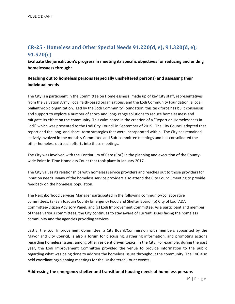## **CR‐25 ‐ Homeless and Other Special Needs 91.220(d, e); 91.320(d, e); 91.520(c)**

**Evaluate the jurisdiction's progress in meeting its specific objectives for reducing and ending homelessness through:**

## **Reaching out to homeless persons (especially unsheltered persons) and assessing their individual needs**

The City is a participant in the Committee on Homelessness, made up of key City staff, representatives from the Salvation Army, local faith‐based organizations, and the Lodi Community Foundation, a local philanthropic organization. Led by the Lodi Community Foundation, this task force has built consensus and support to explore a number of short- and long- range solutions to reduce homelessness and mitigate its effect on the community. This culminated in the creation of a "Report on Homelessness in Lodi" which was presented to the Lodi City Council in September of 2015. The City Council adopted that report and the long‐ and short‐ term strategies that were incorporated within. The City has remained actively involved in the monthly Committee and Sub‐committee meetings and has consolidated the other homeless outreach efforts into these meetings.

The City was involved with the Continuum of Care (CoC) in the planning and execution of the County‐ wide Point-in-Time Homeless Count that took place in January 2017.

The City values its relationships with homeless service providers and reaches out to those providers for input on needs. Many of the homeless service providers also attend the City Council meeting to provide feedback on the homeless population.

The Neighborhood Services Manager participated in the following community/collaborative committees: (a) San Joaquin County Emergency Food and Shelter Board, (b) City of Lodi ADA Committee/Citizen Advisory Panel, and (c) Lodi Improvement Committee. As a participant and member of these various committees, the City continues to stay aware of current issues facing the homeless community and the agencies providing services.

Lastly, the Lodi Improvement Committee, a City Board/Commission with members appointed by the Mayor and City Council, is also a forum for discussing, gathering information, and promoting actions regarding homeless issues, among other resident driven topics, in the City. For example, during the past year, the Lodi Improvement Committee provided the venue to provide information to the public regarding what was being done to address the homeless issues throughout the community. The CoC also held coordinating/planning meetings for the Unsheltered Count events.

#### **Addressing the emergency shelter and transitional housing needs of homeless persons**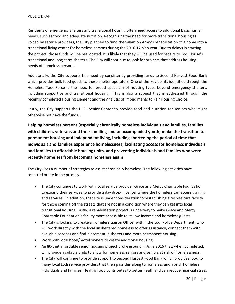Residents of emergency shelters and transitional housing often need access to additional basic human needs, such as food and adequate nutrition. Recognizing the need for more transitional housing as voiced by service providers, the City planned to fund the Salvation Army's rehabilitation of a home into a transitional living center for homeless persons during the 2016‐17 plan year. Due to delays in starting the project, those funds will be reallocated. It is likely that they will be used for repairs to Lodi House's transitional and long‐term shelters. The City will continue to look for projects that address housing needs of homeless persons.

Additionally, the City supports this need by consistently providing funds to Second Harvest Food Bank which provides bulk food goods to these shelter operators. One of the key points identified through the Homeless Task Force is the need for broad spectrum of housing types beyond emergency shelters, including supportive and transitional housing. This is also a subject that is addressed through the recently completed Housing Element and the Analysis of Impediments to Fair Housing Choice.

Lastly, the City supports the LOEL Senior Center to provide food and nutrition for seniors who might otherwise not have the funds. .

**Helping homeless persons (especially chronically homeless individuals and families, families with children, veterans and their families, and unaccompanied youth) make the transition to permanent housing and independent living, including shortening the period of time that individuals and families experience homelessness, facilitating access for homeless individuals and families to affordable housing units, and preventing individuals and families who were recently homeless from becoming homeless again**

The City uses a number of strategies to assist chronically homeless. The following activities have occurred or are in the process.

- The City continues to work with local service provider Grace and Mercy Charitable Foundation to expand their services to provide a day drop-in center where the homeless can access training and services. In addition, that site is under consideration for establishing a respite care facility for those coming off the streets that are not in a condition where they can get into local transitional housing. Lastly, a rehabilitation project is underway to make Grace and Mercy Charitable Foundation's facility more accessible to its low‐income and homeless guests.
- The City is looking to create a Homeless Liaison Officer within the Lodi Police Department, who will work directly with the local unsheltered homeless to offer assistance, connect them with available services and find placement in shelters and more permanent housing.
- Work with local hotel/motel owners to create additional housing.
- An 80-unit affordable senior housing project broke ground in June 2016 that, when completed, will provide available units to allow for homeless seniors and seniors at risk of homelessness.
- The City will continue to provide support to Second Harvest Food Bank which provides food to many local Lodi service providers that then pass this along to homeless and at‐risk homeless individuals and families. Healthy food contributes to better heath and can reduce financial stress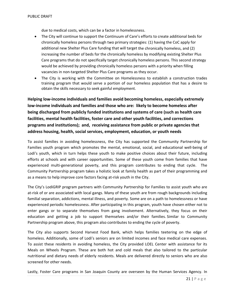due to medical costs, which can be a factor in homelessness.

- The City will continue to support the Continuum of Care's efforts to create additional beds for chronically homeless persons through two primary strategies: (1) having the CoC apply for additional new Shelter Plus Care funding that will target the chronically homeless, and (2) increasing the number of beds for the chronically homeless by modifying existing Shelter Plus Care programs that do not specifically target chronically homeless persons. This second strategy would be achieved by providing chronically homeless persons with a priority when filling vacancies in non‐targeted Shelter Plus Care programs as they occur.
- The City is working with the Committee on Homelessness to establish a construction trades training program that would serve a portion of our homeless population that has a desire to obtain the skills necessary to seek gainful employment.

**Helping low‐income individuals and families avoid becoming homeless, especially extremely low‐income individuals and families and those who are: likely to become homeless after being discharged from publicly funded institutions and systems of care (such as health care facilities, mental health facilities, foster care and other youth facilities, and corrections programs and institutions); and, receiving assistance from public or private agencies that address housing, health, social services, employment, education, or youth needs**

To assist families in avoiding homelessness, the City has supported the Community Partnership for Families youth program which promotes the mental, emotional, social, and educational well‐being of Lodi's youth, which in turn helps these youth to make positive choices about their future, including efforts at schools and with career opportunities. Some of these youth come from families that have experienced multi-generational poverty, and this program contributes to ending that cycle. The Community Partnership program takes a holistic look at family health as part of their programming and as a means to help improve core factors facing at‐risk youth in the City.

The City's LodiGRIP program partners with Community Partnership for Families to assist youth who are at-risk of or are associated with local gangs. Many of these youth are from rough backgrounds including familial separation, addictions, mental illness, and poverty. Some are on a path to homelessness or have experienced periodic homelessness. After participating in this program, youth have chosen either not to enter gangs or to separate themselves from gang involvement. Alternatively, they focus on their education and getting a job to support themselves and/or their families. Similar to Community Partnership program above, this program also contributes to ending the cycle of poverty.

The City also supports Second Harvest Food Bank, which helps families teetering on the edge of homeless. Additionally, some of Lodi's seniors are on limited incomes and face medical care expenses. To assist these residents in avoiding homeless, the City provided LOEL Center with assistance for its Meals on Wheels Program. These are both hot and cold meals that also tailored to the particular nutritional and dietary needs of elderly residents. Meals are delivered directly to seniors who are also screened for other needs.

Lastly, Foster Care programs in San Joaquin County are overseen by the Human Services Agency. In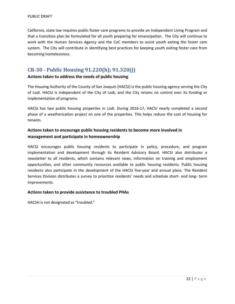California, state law requires public foster care programs to provide an Independent Living Program and that a transition plan be formulated for all youth preparing for emancipation. The City will continue to work with the Human Services Agency and the CoC members to assist youth exiting the foster care system. The City will contribute in identifying best practices for keeping youth exiting foster care from becoming homelessness.

## **CR‐30 ‐ Public Housing 91.220(h); 91.320(j)**

## **Actions taken to address the needs of public housing**

The Housing Authority of the County of San Joaquin (HACSJ) is the public housing agency serving the City of Lodi. HACSJ is independent of the City of Lodi, and the City retains no control over its funding or implementation of programs.

HACSJ has two public housing properties in Lodi. During 2016‐17, HACSJ nearly completed a second phase of a weatherization project on one of the properties. This helps reduce the cost of housing for tenants.

## **Actions taken to encourage public housing residents to become more involved in management and participate in homeownership**

HACSJ encourages public housing residents to participate in policy, procedure, and program implementation and development through its Resident Advisory Board. HACSJ also distributes a newsletter to all residents, which contains relevant news, information on training and employment opportunities, and other community resources available to public housing residents. Public housing residents also participate in the development of the HACSJ five-year and annual plans. The Resident Services Division distributes a survey to prioritize residents' needs and schedule short‐ and long‐ term improvements.

#### **Actions taken to provide assistance to troubled PHAs**

HACSH is not designated as "troubled."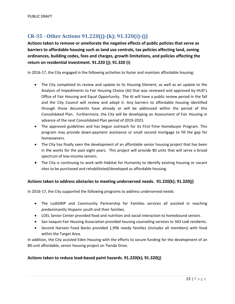## **CR‐35 ‐ Other Actions 91.220(j)‐(k); 91.320(i)‐(j)**

**Actions taken to remove or ameliorate the negative effects of public policies that serve as barriers to affordable housing such as land use controls, tax policies affecting land, zoning ordinances, building codes, fees and charges, growth limitations, and policies affecting the return on residential investment. 91.220 (j); 91.320 (i)**

In 2016‐17, the City engaged in the following activities to foster and maintain affordable housing:

- The City completed its review and update to its Housing Element, as well as an update to the Analysis of Impediments to Fair Housing Choice (AI) that was reviewed and approved by HUD's Office of Fair Housing and Equal Opportunity. The AI will have a public review period in the fall and the City Council will review and adopt it. Any barriers to affordable housing identified through those documents have already or will be addressed within the period of this Consolidated Plan. Furthermore, the City will be developing an Assessment of Fair Housing in advance of the next Consolidated Plan period of 2019‐2023.
- The approved guidelines and has begun outreach for its First-Time Homebuyer Program. This program may provide down‐payment assistance or small second mortgage to fill the gap for homeowners.
- The City has finally seen the development of an affordable senior housing project that has been in the works for the past eight years. This project will provide 80 units that will serve a broad spectrum of low‐income seniors.
- The City is continuing to work with Habitat for Humanity to identify existing housing or vacant sites to be purchased and rehabilitated/developed as affordable housing.

## **Actions taken to address obstacles to meeting underserved needs. 91.220(k); 91.320(j)**

In 2016‐17, the City supported the following programs to address underserved needs:

- The LodiGRIP and Community Partnership for Families services all assisted in reaching predominantly Hispanic youth and their families.
- LOEL Senior Center provided food and nutrition and social interaction to homebound seniors .
- San Joaquin Fair Housing Association provided housing counseling services to 343 Lodi residents.
- Second Harvest Food Banks provided 1,996 needy families (includes all members) with food within the Target Area.

In addition, the City assisted Eden Housing with the efforts to secure funding for the development of an 80-unit affordable, senior housing project on Tienda Drive.

## **Actions taken to reduce lead‐based paint hazards. 91.220(k); 91.320(j)**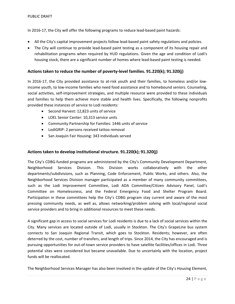In 2016-17, the City will offer the following programs to reduce lead-based paint hazards:

- All the City's capital improvement projects follow lead‐based paint safety regulations and policies.
- The City will continue to provide lead-based paint testing as a component of its housing repair and rehabilitation programs when required by HUD regulations. Given the age and condition of Lodi's housing stock, there are a significant number of homes where lead‐based paint testing is needed.

## **Actions taken to reduce the number of poverty‐level families. 91.220(k); 91.320(j)**

In 2016-17, the City provided assistance to at-risk youth and their families, to homeless and/or lowincome youth, to low‐income families who need food assistance and to homebound seniors. Counseling, social activities, self-improvement strategies, and multiple resource were provided to these individuals and families to help them achieve more stable and health lives. Specifically, the following nonprofits provided these instances of service to Lodi residents:

- Second Harvest: 12,823 units of service
- LOEL Senior Center: 10,313 service units
- Community Partnership for Families: 1446 units of service
- LodiGRIP: 2 persons received tattoo removal
- San Joaquin Fair Housing: 343 individuals served

### **Actions taken to develop institutional structure. 91.220(k); 91.320(j)**

The City's CDBG‐funded programs are administered by the City's Community Development Department, Neighborhood Services Division. This Division works collaboratively with the other departments/subdivisions, such as Planning, Code Enforcement, Public Works, and others. Also, the Neighborhood Services Division manager participated as a member of many community committees, such as the Lodi Improvement Committee, Lodi ADA Committee/Citizen Advisory Panel, Lodi's Committee on Homelessness, and the Federal Emergency Food and Shelter Program Board. Participation in these committees help the City's CDBG program stay current and aware of the most pressing community needs, as well as, allows networking/problem solving with local/regional social service providers and to bring in additional resources to meet these needs.

A significant gap in access to social services for Lodi residents is due to a lack of social services within the City. Many services are located outside of Lodi, usually in Stockton. The City's GrapeLine bus system connects to San Joaquin Regional Transit, which goes to Stockton. Residents; however, are often deterred by the cost, number of transfers, and length of trips. Since 2014, the City has encouraged and is pursuing opportunities for out‐of‐town service providers to have satellite facilities/offices in Lodi. Three potential sites were considered but became unavailable. Due to uncertainly with the location, project funds will be reallocated.

The Neighborhood Services Manager has also been involved in the update of the City's Housing Element,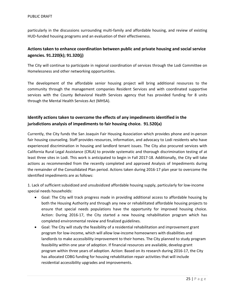particularly in the discussions surrounding multi-family and affordable housing, and review of existing HUD-funded housing programs and an evaluation of their effectiveness.

## **Actions taken to enhance coordination between public and private housing and social service agencies. 91.220(k); 91.320(j)**

The City will continue to participate in regional coordination of services through the Lodi Committee on Homelessness and other networking opportunities.

The development of the affordable senior housing project will bring additional resources to the community through the management companies Resident Services and with coordinated supportive services with the County Behavioral Health Services agency that has provided funding for 8 units through the Mental Health Services Act (MHSA).

## **Identify actions taken to overcome the effects of any impediments identified in the jurisdictions analysis of impediments to fair housing choice. 91.520(a)**

Currently, the City funds the San Joaquin Fair Housing Association which provides phone and in‐person fair housing counseling. Staff provides resources, information, and advocacy to Lodi residents who have experienced discrimination in housing and landlord tenant issues. The City also procured services with California Rural Legal Assistance (CRLA) to provide systematic and thorough discrimination testing of at least three sites in Lodi. This work is anticipated to begin in Fall 2017‐18. Additionally, the City will take actions as recommended from the recently completed and approved Analysis of Impediments during the remainder of the Consolidated Plan period. Actions taken during 2016‐17 plan year to overcome the identified impediments are as follows:

1. Lack of sufficient subsidized and unsubsidized affordable housing supply, particularly for low‐income special needs households:

- Goal: The City will track progress made in providing additional access to affordable housing by both the Housing Authority and through any new or rehabilitated affordable housing projects to ensure that special needs populations have the opportunity for improved housing choice. Action: During 2016‐17, the City started a new housing rehabilitation program which has completed environmental review and finalized guidelines.
- Goal: The City will study the feasibility of a residential rehabilitation and improvement grant program for low‐income, which will allow low‐income homeowners with disabilities and landlords to make accessibility improvement to their homes. The City planned to study program feasibility within one year of adoption. If financial resources are available, develop grant program within three years of adoption. Action: Based on its research during 2016‐17, the City has allocated CDBG funding for housing rehabilitation repair activities that will include residential accessibility upgrades and improvements.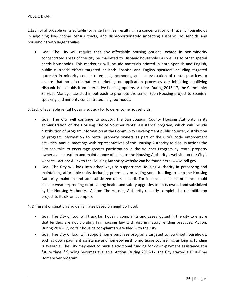#### PUBLIC DRAFT

2.Lack of affordable units suitable for large families, resulting in a concentration of Hispanic households in adjoining low‐income census tracts, and disproportionately impacting Hispanic households and households with large families.

 Goal: The City will require that any affordable housing options located in non‐minority concentrated areas of the city be marketed to Hispanic households as well as to other special needs households. This marketing will include materials printed in both Spanish and English, public outreach efforts targeted at both Spanish and English speakers including targeted outreach in minority concentrated neighborhoods, and an evaluation of rental practices to ensure that no discriminatory marketing or application processes are inhibiting qualifying Hispanic households from alternative housing options. Action: During 2016‐17, the Community Services Manager assisted in outreach to promote the senior Eden Housing project to Spanish‐ speaking and minority concentrated neighborhoods.

3. Lack of available rental housing subsidy for lower‐income households.

- Goal: The City will continue to support the San Joaquin County Housing Authority in its administration of the Housing Choice Voucher rental assistance program, which will include distribution of program information at the Community Development public counter, distribution of program information to rental property owners as part of the City's code enforcement activities, annual meetings with representatives of the Housing Authority to discuss actions the City can take to encourage greater participation in the Voucher Program by rental property owners, and creation and maintenance of a link to the Housing Authority's website on the City's website. Action: A link to the Housing Authority website can be found here: www.lodi.gov.
- Goal: The City will look into other ways to support the Housing Authority in preserving and maintaining affordable units, including potentially providing some funding to help the Housing Authority maintain and add subsidized units in Lodi. For instance, such maintenance could include weatherproofing or providing health and safety upgrades to units owned and subsidized by the Housing Authority. Action: The Housing Authority recently completed a rehabilitation project to its six‐unit complex.
- 4. Different origination and denial rates based on neighborhood.
	- Goal: The City of Lodi will track fair housing complaints and cases lodged in the city to ensure that lenders are not violating fair housing law with discriminatory lending practices. Action: During 2016‐17, no fair housing complaints were filed with the City.
	- Goal: The City of Lodi will support home purchase programs targeted to low/mod households, such as down payment assistance and homeownership mortgage counseling, as long as funding is available. The City may elect to pursue additional funding for down‐payment assistance at a future time if funding becomes available. Action: During 2016-17, the City started a First-Time Homebuyer program.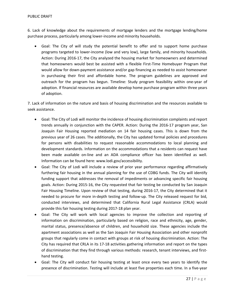6. Lack of knowledge about the requirements of mortgage lenders and the mortgage lending/home purchase process, particularly among lower-income and minority households.

 Goal: The City of will study the potential benefit to offer and to support home purchase programs targeted to lower‐income (low and very low), large family, and minority households. Action: During 2016‐17, the City analyzed the housing market for homeowners and determined that homeowners would best be assisted with a flexible First‐Time Homebuyer Program that would allow for down-payment assistance and/or gap financing as needed to assist homeowner in purchasing their first and affordable home. The program guidelines are approved and outreach for the program has begun. Timeline: Study program feasibility within one‐year of adoption. If financial resources are available develop home purchase program within three years of adoption.

7. Lack of information on the nature and basis of housing discrimination and the resources available to seek assistance.

- Goal: The City of Lodi will monitor the incidence of housing discrimination complaints and report trends annually in conjunction with the CAPER. Action: During the 2016‐17 program year, San Joaquin Fair Housing reported mediation on 14 fair housing cases. This is down from the previous year of 26 cases. The additionally, the City has updated formal policies and procedures for persons with disabilities to request reasonable accommodations to local planning and development standards. Information on the accommodations that a residents can request have been made available on-line and an ADA compliance officer has been identified as well. Information can be found here: www.lodi.gov/accessibility.
- Goal: The City of Lodi will include a review of prior year performance regarding affirmatively furthering fair housing in the annual planning for the use of CDBG funds. The City will identify funding support that addresses the removal of impediments or advancing specific fair housing goals. Action: During 2015‐16, the City requested that fair testing be conducted by San Joaquin Fair Housing Timeline. Upon review of that testing, during 2016‐17, the City determined that it needed to procure for more in‐depth testing and follow‐up. The City released request for bid, conducted interviews, and determined that California Rural Legal Assistance (CRLA) would provide this fair housing testing during 2017‐18 plan year.
- Goal: The City will work with local agencies to improve the collection and reporting of information on discrimination, particularly based on religion, race and ethnicity, age, gender, marital status, presence/absence of children, and household size. These agencies include the apartment associations as well as the San Joaquin Fair Housing Association and other nonprofit groups that regularly come in contact with groups at risk of housing discrimination. Action: The City has required that CRLA in its 17‐18 activities gathering information and report on the types of discrimination that they find through various methods: research, tenant interviews, and first‐ hand testing.
- Goal: The City will conduct fair housing testing at least once every two years to identify the presence of discrimination. Testing will include at least five properties each time. In a five‐year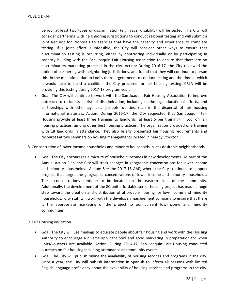period, at least two types of discrimination (e.g., race, disability) will be tested. The City will consider partnering with neighboring jurisdictions to conduct regional testing and will submit a joint Request for Proposals to agencies that have the capacity and experience to complete testing. If a joint effort is infeasible, the City will consider other ways to ensure that discrimination testing is occurring, either by contracting individually or by participating in capacity building with the San Joaquin Fair Housing Association to ensure that there are no discriminatory marketing practices in the city. Action: During 2016‐17, the City reviewed the option of partnering with neighboring jurisdictions, and found that they will continue to pursue this. In the meantime, due to Lodi's more urgent need to conduct testing and the time at which it would take to build a coalition, the City procured for fair housing testing. CRLA will be providing this testing during 2017‐18 program year.

 Goal: The City will continue to work with the San Joaquin Fair Housing Association to improve outreach to residents at risk of discrimination, including marketing, educational efforts, and partnerships with other agencies (schools, utilities, etc.) in the dispersal of fair housing informational materials. Action: During 2016‐17, the City requested that San Joaquin Fair Housing provide at least three trainings to landlords (at least 5 per training) in Lodi on fair housing practices, among other best housing practices. The organization provided one training with 18 landlords in attendance. They also briefly presented fair housing requirements and resources at two seminars on housing managements located in nearby Stockton.

8. Concentration of lower-income households and minority households in less desirable neighborhoods.

- Goal: The City encourages a mixture of household incomes in new developments. As part of the Annual Action Plan, the City will track changes in geographic concentrations for lower‐income and minority households. Action: See the 2017‐18 AAP, where the City continues to support projects that target the geographic concentrations of lower‐income and minority households. These concentrations continue to be located on the eastern sides of the community. Additionally, the development of the 80‐unit affordable senior housing project has made a huge step toward the creation and distribution of affordable housing for low‐income and minority households. City staff will work with the developer/management company to ensure that there is the appropriate marketing of the project to our current low‐income and minority communities.
- 9. Fair Housing education
	- Goal: The City will use mailings to educate people about fair housing and work with the Housing Authority to encourage a diverse applicant pool and good marketing in preparation for when units/vouchers are available. Action: During 2016‐17, San Joaquin Fair Housing conducted outreach on fair housing including attendance at community events.
	- Goal: The City will publish online the availability of housing services and programs in the city. Once a year, the City will publish information in Spanish to inform all persons with limited English language proficiency about the availability of housing services and programs in the city.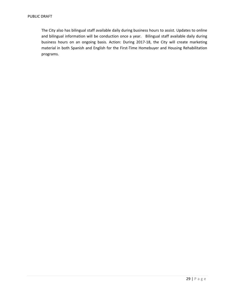The City also has bilingual staff available daily during business hours to assist. Updates to online and bilingual information will be conduction once a year. Bilingual staff available daily during business hours on an ongoing basis. Action: During 2017‐18, the City will create marketing material in both Spanish and English for the First‐Time Homebuyer and Housing Rehabilitation programs.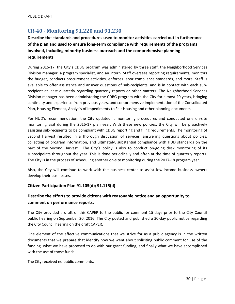## **CR‐40 ‐ Monitoring 91.220 and 91.230**

**Describe the standards and procedures used to monitor activities carried out in furtherance of the plan and used to ensure long‐term compliance with requirements of the programs involved, including minority business outreach and the comprehensive planning requirements**

During 2016‐17, the City's CDBG program was administered by three staff, the Neighborhood Services Division manager, a program specialist, and an intern. Staff oversees reporting requirements, monitors the budget, conducts procurement activities, enforces labor compliance standards, and more. Staff is available to offer assistance and answer questions of sub-recipients, and is in contact with each subrecipient at least quarterly regarding quarterly reports or other matters. The Neighborhood Services Division manager has been administering the CDBG program with the City for almost 20 years, bringing continuity and experience from previous years, and comprehensive implementation of the Consolidated Plan, Housing Element, Analysis of Impediments to Fair Housing and other planning documents.

Per HUD's recommendation, the City updated it monitoring procedures and conducted one on‐site monitoring visit during the 2016‐17 plan year. With these new policies, the City will be proactively assisting sub‐recipients to be compliant with CDBG reporting and filing requirements. The monitoring of Second Harvest resulted in a thorough discussion of services, answering questions about policies, collecting of program information, and ultimately, substantial compliance with HUD standards on the part of the Second Harvest. The City's policy is also to conduct on-going desk monitoring of its subrecipeints throughout the year. This is done periodically and often at the time of quarterly reports. The City is in the process of scheduling another on-site monitoring during the 2017-18 program year.

Also, the City will continue to work with the business center to assist low‐income business owners develop their businesses.

#### **Citizen Participation Plan 91.105(d); 91.115(d)**

## **Describe the efforts to provide citizens with reasonable notice and an opportunity to comment on performance reports.**

The City provided a draft of this CAPER to the public for comment 15‐days prior to the City Council public hearing on September 20, 2016. The City posted and published a 30‐day public notice regarding the City Council hearing on the draft CAPER.

One element of the effective communications that we strive for as a public agency is in the written documents that we prepare that identify how we went about soliciting public comment for use of the funding, what we have proposed to do with our grant funding, and finally what we have accomplished with the use of those funds.

The City received no public comments.